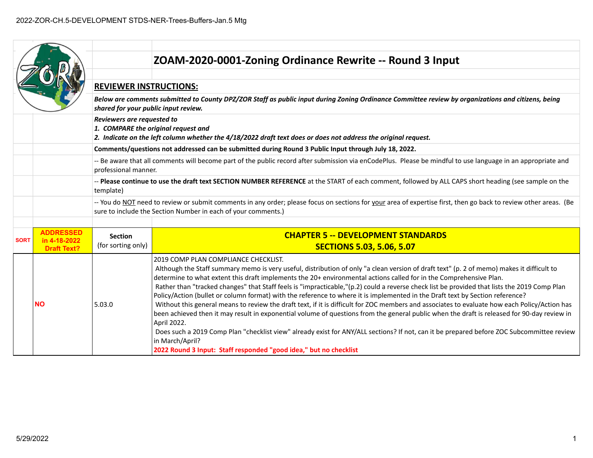|             |                                    |                                      | ZOAM-2020-0001-Zoning Ordinance Rewrite -- Round 3 Input                                                                                                                                                                                                                                                                                                                                                                                                                                                                                                                                                                                                                                                                                                                                                                                                                                                                                                                                                                                                                                                                                     |
|-------------|------------------------------------|--------------------------------------|----------------------------------------------------------------------------------------------------------------------------------------------------------------------------------------------------------------------------------------------------------------------------------------------------------------------------------------------------------------------------------------------------------------------------------------------------------------------------------------------------------------------------------------------------------------------------------------------------------------------------------------------------------------------------------------------------------------------------------------------------------------------------------------------------------------------------------------------------------------------------------------------------------------------------------------------------------------------------------------------------------------------------------------------------------------------------------------------------------------------------------------------|
|             |                                    |                                      |                                                                                                                                                                                                                                                                                                                                                                                                                                                                                                                                                                                                                                                                                                                                                                                                                                                                                                                                                                                                                                                                                                                                              |
|             |                                    | <b>REVIEWER INSTRUCTIONS:</b>        |                                                                                                                                                                                                                                                                                                                                                                                                                                                                                                                                                                                                                                                                                                                                                                                                                                                                                                                                                                                                                                                                                                                                              |
|             |                                    | shared for your public input review. | Below are comments submitted to County DPZ/ZOR Staff as public input during Zoning Ordinance Committee review by organizations and citizens, being                                                                                                                                                                                                                                                                                                                                                                                                                                                                                                                                                                                                                                                                                                                                                                                                                                                                                                                                                                                           |
|             |                                    | Reviewers are requested to           | 1. COMPARE the original request and<br>2. Indicate on the left column whether the 4/18/2022 draft text does or does not address the original request.                                                                                                                                                                                                                                                                                                                                                                                                                                                                                                                                                                                                                                                                                                                                                                                                                                                                                                                                                                                        |
|             |                                    |                                      | Comments/questions not addressed can be submitted during Round 3 Public Input through July 18, 2022.                                                                                                                                                                                                                                                                                                                                                                                                                                                                                                                                                                                                                                                                                                                                                                                                                                                                                                                                                                                                                                         |
|             |                                    | professional manner.                 | -- Be aware that all comments will become part of the public record after submission via enCodePlus. Please be mindful to use language in an appropriate and                                                                                                                                                                                                                                                                                                                                                                                                                                                                                                                                                                                                                                                                                                                                                                                                                                                                                                                                                                                 |
|             |                                    | template)                            | -- Please continue to use the draft text SECTION NUMBER REFERENCE at the START of each comment, followed by ALL CAPS short heading (see sample on the                                                                                                                                                                                                                                                                                                                                                                                                                                                                                                                                                                                                                                                                                                                                                                                                                                                                                                                                                                                        |
|             |                                    |                                      | -- You do NOT need to review or submit comments in any order; please focus on sections for your area of expertise first, then go back to review other areas. (Be<br>sure to include the Section Number in each of your comments.)                                                                                                                                                                                                                                                                                                                                                                                                                                                                                                                                                                                                                                                                                                                                                                                                                                                                                                            |
|             | <b>ADDRESSED</b>                   |                                      |                                                                                                                                                                                                                                                                                                                                                                                                                                                                                                                                                                                                                                                                                                                                                                                                                                                                                                                                                                                                                                                                                                                                              |
| <b>SORT</b> | in 4-18-2022<br><b>Draft Text?</b> | <b>Section</b><br>(for sorting only) | <b>CHAPTER 5 -- DEVELOPMENT STANDARDS</b><br><b>SECTIONS 5.03, 5.06, 5.07</b>                                                                                                                                                                                                                                                                                                                                                                                                                                                                                                                                                                                                                                                                                                                                                                                                                                                                                                                                                                                                                                                                |
|             | <b>NO</b>                          | 5.03.0                               | 2019 COMP PLAN COMPLIANCE CHECKLIST.<br>Although the Staff summary memo is very useful, distribution of only "a clean version of draft text" (p. 2 of memo) makes it difficult to<br>determine to what extent this draft implements the 20+ environmental actions called for in the Comprehensive Plan.<br>Rather than "tracked changes" that Staff feels is "impracticable,"(p.2) could a reverse check list be provided that lists the 2019 Comp Plan<br>Policy/Action (bullet or column format) with the reference to where it is implemented in the Draft text by Section reference?<br>Without this general means to review the draft text, if it is difficult for ZOC members and associates to evaluate how each Policy/Action has<br>been achieved then it may result in exponential volume of questions from the general public when the draft is released for 90-day review in<br>April 2022.<br>Does such a 2019 Comp Plan "checklist view" already exist for ANY/ALL sections? If not, can it be prepared before ZOC Subcommittee review<br>in March/April?<br>2022 Round 3 Input: Staff responded "good idea," but no checklist |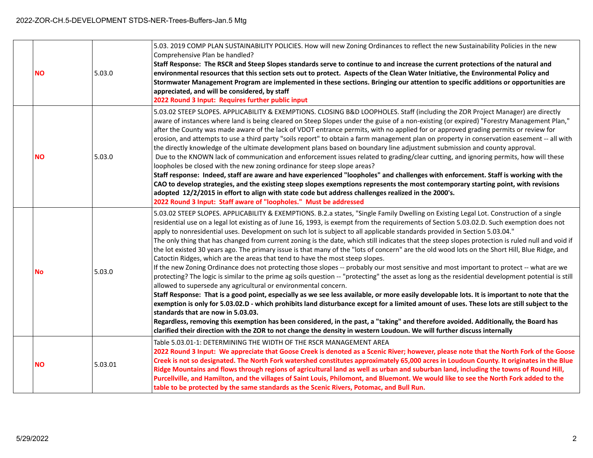| <b>NO</b> | 5.03.0  | 5.03. 2019 COMP PLAN SUSTAINABILITY POLICIES. How will new Zoning Ordinances to reflect the new Sustainability Policies in the new<br>Comprehensive Plan be handled?<br>Staff Response: The RSCR and Steep Slopes standards serve to continue to and increase the current protections of the natural and<br>environmental resources that this section sets out to protect. Aspects of the Clean Water Initiative, the Environmental Policy and<br>Stormwater Management Program are implemented in these sections. Bringing our attention to specific additions or opportunities are<br>appreciated, and will be considered, by staff<br>2022 Round 3 Input: Requires further public input                                                                                                                                                                                                                                                                                                                                                                                                                                                                                                                                                                                                                                                                                                                                                                                                                                                                                                                                                                                                                                                                                               |
|-----------|---------|------------------------------------------------------------------------------------------------------------------------------------------------------------------------------------------------------------------------------------------------------------------------------------------------------------------------------------------------------------------------------------------------------------------------------------------------------------------------------------------------------------------------------------------------------------------------------------------------------------------------------------------------------------------------------------------------------------------------------------------------------------------------------------------------------------------------------------------------------------------------------------------------------------------------------------------------------------------------------------------------------------------------------------------------------------------------------------------------------------------------------------------------------------------------------------------------------------------------------------------------------------------------------------------------------------------------------------------------------------------------------------------------------------------------------------------------------------------------------------------------------------------------------------------------------------------------------------------------------------------------------------------------------------------------------------------------------------------------------------------------------------------------------------------|
| <b>NO</b> | 5.03.0  | 5.03.02 STEEP SLOPES. APPLICABILITY & EXEMPTIONS. CLOSING B&D LOOPHOLES. Staff (including the ZOR Project Manager) are directly<br>aware of instances where land is being cleared on Steep Slopes under the guise of a non-existing (or expired) "Forestry Management Plan,"<br>after the County was made aware of the lack of VDOT entrance permits, with no applied for or approved grading permits or review for<br>erosion, and attempts to use a third party "soils report" to obtain a farm management plan on property in conservation easement -- all with<br>the directly knowledge of the ultimate development plans based on boundary line adjustment submission and county approval.<br>Due to the KNOWN lack of communication and enforcement issues related to grading/clear cutting, and ignoring permits, how will these<br>loopholes be closed with the new zoning ordinance for steep slope areas?<br>Staff response: Indeed, staff are aware and have experienced "loopholes" and challenges with enforcement. Staff is working with the<br>CAO to develop strategies, and the existing steep slopes exemptions represents the most contemporary starting point, with revisions<br>adopted 12/2/2015 in effort to align with state code but address challenges realized in the 2000's.<br>2022 Round 3 Input: Staff aware of "loopholes." Must be addressed                                                                                                                                                                                                                                                                                                                                                                                                           |
| No        | 5.03.0  | 5.03.02 STEEP SLOPES. APPLICABILITY & EXEMPTIONS. B.2.a states, "Single Family Dwelling on Existing Legal Lot. Construction of a single<br>residential use on a legal lot existing as of June 16, 1993, is exempt from the requirements of Section 5.03.02.D. Such exemption does not<br>apply to nonresidential uses. Development on such lot is subject to all applicable standards provided in Section 5.03.04."<br>The only thing that has changed from current zoning is the date, which still indicates that the steep slopes protection is ruled null and void if<br>the lot existed 30 years ago. The primary issue is that many of the "lots of concern" are the old wood lots on the Short Hill, Blue Ridge, and<br>Catoctin Ridges, which are the areas that tend to have the most steep slopes.<br>If the new Zoning Ordinance does not protecting those slopes -- probably our most sensitive and most important to protect -- what are we<br>protecting? The logic is similar to the prime ag soils question -- "protecting" the asset as long as the residential development potential is still<br>allowed to supersede any agricultural or environmental concern.<br>Staff Response: That is a good point, especially as we see less available, or more easily developable lots. It is important to note that the<br>exemption is only for 5.03.02.D - which prohibits land disturbance except for a limited amount of uses. These lots are still subject to the<br>standards that are now in 5.03.03.<br>Regardless, removing this exemption has been considered, in the past, a "taking" and therefore avoided. Additionally, the Board has<br>clarified their direction with the ZOR to not change the density in western Loudoun. We will further discuss internally |
| <b>NO</b> | 5.03.01 | Table 5.03.01-1: DETERMINING THE WIDTH OF THE RSCR MANAGEMENT AREA<br>2022 Round 3 Input: We appreciate that Goose Creek is denoted as a Scenic River; however, please note that the North Fork of the Goose<br>Creek is not so designated. The North Fork watershed constitutes approximately 65,000 acres in Loudoun County. It originates in the Blue<br>Ridge Mountains and flows through regions of agricultural land as well as urban and suburban land, including the towns of Round Hill,<br>Purcellville, and Hamilton, and the villages of Saint Louis, Philomont, and Bluemont. We would like to see the North Fork added to the<br>table to be protected by the same standards as the Scenic Rivers, Potomac, and Bull Run.                                                                                                                                                                                                                                                                                                                                                                                                                                                                                                                                                                                                                                                                                                                                                                                                                                                                                                                                                                                                                                                  |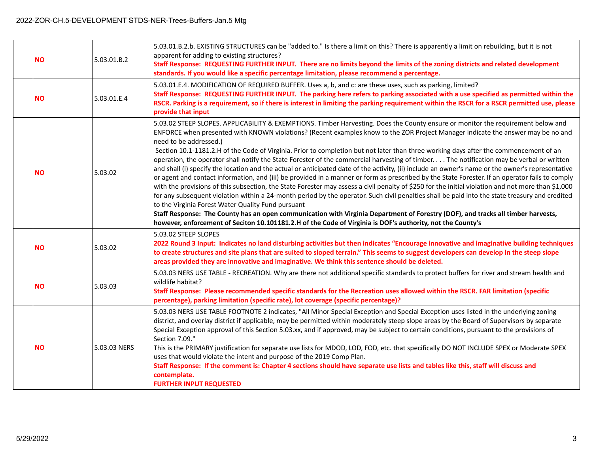| <b>NO</b> | 5.03.01.B.2  | 5.03.01.B.2.b. EXISTING STRUCTURES can be "added to." Is there a limit on this? There is apparently a limit on rebuilding, but it is not<br>apparent for adding to existing structures?<br>Staff Response: REQUESTING FURTHER INPUT. There are no limits beyond the limits of the zoning districts and related development<br>standards. If you would like a specific percentage limitation, please recommend a percentage.                                                                                                                                                                                                                                                                                                                                                                                                                                                                                                                                                                                                                                                                                                                                                                                                                                                                                                                                                                                                                                                                                  |
|-----------|--------------|--------------------------------------------------------------------------------------------------------------------------------------------------------------------------------------------------------------------------------------------------------------------------------------------------------------------------------------------------------------------------------------------------------------------------------------------------------------------------------------------------------------------------------------------------------------------------------------------------------------------------------------------------------------------------------------------------------------------------------------------------------------------------------------------------------------------------------------------------------------------------------------------------------------------------------------------------------------------------------------------------------------------------------------------------------------------------------------------------------------------------------------------------------------------------------------------------------------------------------------------------------------------------------------------------------------------------------------------------------------------------------------------------------------------------------------------------------------------------------------------------------------|
| <b>NO</b> | 5.03.01.E.4  | 5.03.01.E.4. MODIFICATION OF REQUIRED BUFFER. Uses a, b, and c: are these uses, such as parking, limited?<br>Staff Response: REQUESTING FURTHER INPUT. The parking here refers to parking associated with a use specified as permitted within the<br>RSCR. Parking is a requirement, so if there is interest in limiting the parking requirement within the RSCR for a RSCR permitted use, please<br>provide that input                                                                                                                                                                                                                                                                                                                                                                                                                                                                                                                                                                                                                                                                                                                                                                                                                                                                                                                                                                                                                                                                                      |
| <b>NO</b> | 5.03.02      | 5.03.02 STEEP SLOPES. APPLICABILITY & EXEMPTIONS. Timber Harvesting. Does the County ensure or monitor the requirement below and<br>ENFORCE when presented with KNOWN violations? (Recent examples know to the ZOR Project Manager indicate the answer may be no and<br>need to be addressed.)<br>Section 10.1-1181.2.H of the Code of Virginia. Prior to completion but not later than three working days after the commencement of an<br>operation, the operator shall notify the State Forester of the commercial harvesting of timber. The notification may be verbal or written<br>and shall (i) specify the location and the actual or anticipated date of the activity, (ii) include an owner's name or the owner's representative<br>or agent and contact information, and (iii) be provided in a manner or form as prescribed by the State Forester. If an operator fails to comply<br>with the provisions of this subsection, the State Forester may assess a civil penalty of \$250 for the initial violation and not more than \$1,000<br>for any subsequent violation within a 24-month period by the operator. Such civil penalties shall be paid into the state treasury and credited<br>to the Virginia Forest Water Quality Fund pursuant<br>Staff Response: The County has an open communication with Virginia Department of Forestry (DOF), and tracks all timber harvests,<br>however, enforcement of Seciton 10.101181.2.H of the Code of Virginia is DOF's authority, not the County's |
| <b>NO</b> | 5.03.02      | 5.03.02 STEEP SLOPES<br>2022 Round 3 Input: Indicates no land disturbing activities but then indicates "Encourage innovative and imaginative building techniques<br>to create structures and site plans that are suited to sloped terrain." This seems to suggest developers can develop in the steep slope<br>areas provided they are innovative and imaginative. We think this sentence should be deleted.                                                                                                                                                                                                                                                                                                                                                                                                                                                                                                                                                                                                                                                                                                                                                                                                                                                                                                                                                                                                                                                                                                 |
| <b>NO</b> | 5.03.03      | 5.03.03 NERS USE TABLE - RECREATION. Why are there not additional specific standards to protect buffers for river and stream health and<br>wildlife habitat?<br>Staff Response: Please recommended specific standards for the Recreation uses allowed within the RSCR. FAR limitation (specific<br>percentage), parking limitation (specific rate), lot coverage (specific percentage)?                                                                                                                                                                                                                                                                                                                                                                                                                                                                                                                                                                                                                                                                                                                                                                                                                                                                                                                                                                                                                                                                                                                      |
| <b>NO</b> | 5.03.03 NERS | 5.03.03 NERS USE TABLE FOOTNOTE 2 indicates, "All Minor Special Exception and Special Exception uses listed in the underlying zoning<br>district, and overlay district if applicable, may be permitted within moderately steep slope areas by the Board of Supervisors by separate<br>Special Exception approval of this Section 5.03.xx, and if approved, may be subject to certain conditions, pursuant to the provisions of<br>Section 7.09."<br>This is the PRIMARY justification for separate use lists for MDOD, LOD, FOD, etc. that specifically DO NOT INCLUDE SPEX or Moderate SPEX<br>uses that would violate the intent and purpose of the 2019 Comp Plan.<br>Staff Response: If the comment is: Chapter 4 sections should have separate use lists and tables like this, staff will discuss and<br>contemplate.<br><b>FURTHER INPUT REQUESTED</b>                                                                                                                                                                                                                                                                                                                                                                                                                                                                                                                                                                                                                                                 |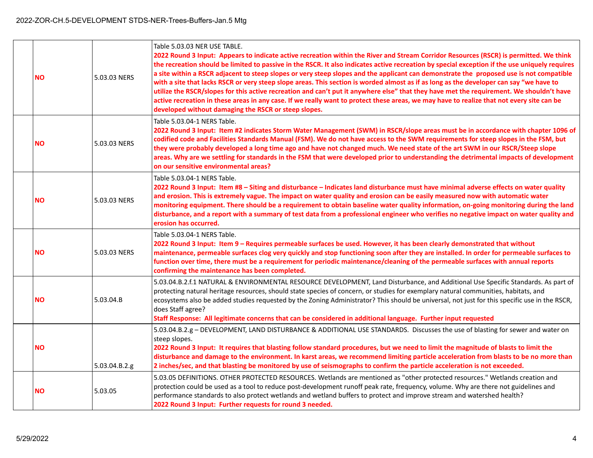| <b>NO</b> | 5.03.03 NERS  | Table 5.03.03 NER USE TABLE.<br>2022 Round 3 Input: Appears to indicate active recreation within the River and Stream Corridor Resources (RSCR) is permitted. We think<br>the recreation should be limited to passive in the RSCR. It also indicates active recreation by special exception if the use uniquely requires<br>a site within a RSCR adjacent to steep slopes or very steep slopes and the applicant can demonstrate the proposed use is not compatible<br>with a site that lacks RSCR or very steep slope areas. This section is worded almost as if as long as the developer can say "we have to<br>utilize the RSCR/slopes for this active recreation and can't put it anywhere else" that they have met the requirement. We shouldn't have<br>active recreation in these areas in any case. If we really want to protect these areas, we may have to realize that not every site can be<br>developed without damaging the RSCR or steep slopes. |
|-----------|---------------|-----------------------------------------------------------------------------------------------------------------------------------------------------------------------------------------------------------------------------------------------------------------------------------------------------------------------------------------------------------------------------------------------------------------------------------------------------------------------------------------------------------------------------------------------------------------------------------------------------------------------------------------------------------------------------------------------------------------------------------------------------------------------------------------------------------------------------------------------------------------------------------------------------------------------------------------------------------------|
| <b>NO</b> | 5.03.03 NERS  | Table 5.03.04-1 NERS Table.<br>2022 Round 3 Input: Item #2 indicates Storm Water Management (SWM) in RSCR/slope areas must be in accordance with chapter 1096 of<br>codified code and Facilities Standards Manual (FSM). We do not have access to the SWM requirements for steep slopes in the FSM, but<br>they were probably developed a long time ago and have not changed much. We need state of the art SWM in our RSCR/Steep slope<br>areas. Why are we settling for standards in the FSM that were developed prior to understanding the detrimental impacts of development<br>on our sensitive environmental areas?                                                                                                                                                                                                                                                                                                                                       |
| <b>NO</b> | 5.03.03 NERS  | Table 5.03.04-1 NERS Table.<br>2022 Round 3 Input: Item #8 - Siting and disturbance - Indicates land disturbance must have minimal adverse effects on water quality<br>and erosion. This is extremely vague. The impact on water quality and erosion can be easily measured now with automatic water<br>monitoring equipment. There should be a requirement to obtain baseline water quality information, on-going monitoring during the land<br>disturbance, and a report with a summary of test data from a professional engineer who verifies no negative impact on water quality and<br>erosion has occurred.                                                                                                                                                                                                                                                                                                                                               |
| <b>NO</b> | 5.03.03 NERS  | Table 5.03.04-1 NERS Table.<br>2022 Round 3 Input: Item 9 – Requires permeable surfaces be used. However, it has been clearly demonstrated that without<br>maintenance, permeable surfaces clog very quickly and stop functioning soon after they are installed. In order for permeable surfaces to<br>function over time, there must be a requirement for periodic maintenance/cleaning of the permeable surfaces with annual reports<br>confirming the maintenance has been completed.                                                                                                                                                                                                                                                                                                                                                                                                                                                                        |
| <b>NO</b> | 5.03.04.B     | 5.03.04.B.2.f.1 NATURAL & ENVIRONMENTAL RESOURCE DEVELOPMENT, Land Disturbance, and Additional Use Specific Standards. As part of<br>protecting natural heritage resources, should state species of concern, or studies for exemplary natural communities, habitats, and<br>ecosystems also be added studies requested by the Zoning Administrator? This should be universal, not just for this specific use in the RSCR,<br>does Staff agree?<br>Staff Response: All legitimate concerns that can be considered in additional language. Further input requested                                                                                                                                                                                                                                                                                                                                                                                                |
| <b>NO</b> | 5.03.04.B.2.g | 5.03.04.B.2.g - DEVELOPMENT, LAND DISTURBANCE & ADDITIONAL USE STANDARDS. Discusses the use of blasting for sewer and water on<br>steep slopes.<br>2022 Round 3 Input: It requires that blasting follow standard procedures, but we need to limit the magnitude of blasts to limit the<br>disturbance and damage to the environment. In karst areas, we recommend limiting particle acceleration from blasts to be no more than<br>2 inches/sec, and that blasting be monitored by use of seismographs to confirm the particle acceleration is not exceeded.                                                                                                                                                                                                                                                                                                                                                                                                    |
| <b>NO</b> | 5.03.05       | 5.03.05 DEFINITIONS. OTHER PROTECTED RESOURCES. Wetlands are mentioned as "other protected resources." Wetlands creation and<br>protection could be used as a tool to reduce post-development runoff peak rate, frequency, volume. Why are there not guidelines and<br>performance standards to also protect wetlands and wetland buffers to protect and improve stream and watershed health?<br>2022 Round 3 Input: Further requests for round 3 needed.                                                                                                                                                                                                                                                                                                                                                                                                                                                                                                       |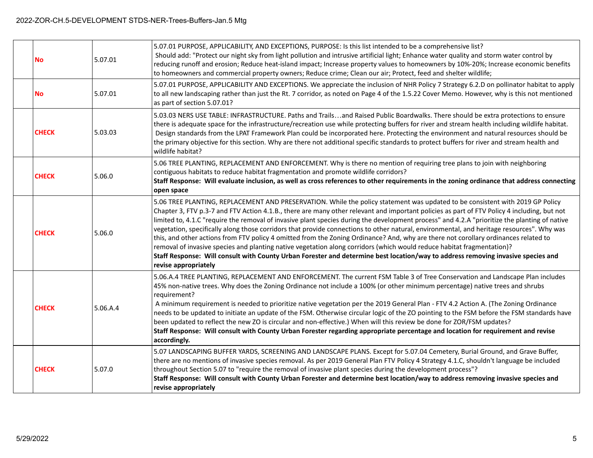| No           | 5.07.01  | 5.07.01 PURPOSE, APPLICABILITY, AND EXCEPTIONS, PURPOSE: Is this list intended to be a comprehensive list?<br>Should add: "Protect our night sky from light pollution and intrusive artificial light; Enhance water quality and storm water control by<br>reducing runoff and erosion; Reduce heat-island impact; Increase property values to homeowners by 10%-20%; Increase economic benefits<br>to homeowners and commercial property owners; Reduce crime; Clean our air; Protect, feed and shelter wildlife;                                                                                                                                                                                                                                                                                                                                                                                                                                                                                       |
|--------------|----------|---------------------------------------------------------------------------------------------------------------------------------------------------------------------------------------------------------------------------------------------------------------------------------------------------------------------------------------------------------------------------------------------------------------------------------------------------------------------------------------------------------------------------------------------------------------------------------------------------------------------------------------------------------------------------------------------------------------------------------------------------------------------------------------------------------------------------------------------------------------------------------------------------------------------------------------------------------------------------------------------------------|
| No           | 5.07.01  | 5.07.01 PURPOSE, APPLICABILITY AND EXCEPTIONS. We appreciate the inclusion of NHR Policy 7 Strategy 6.2.D on pollinator habitat to apply<br>to all new landscaping rather than just the Rt. 7 corridor, as noted on Page 4 of the 1.5.22 Cover Memo. However, why is this not mentioned<br>as part of section 5.07.01?                                                                                                                                                                                                                                                                                                                                                                                                                                                                                                                                                                                                                                                                                  |
| <b>CHECK</b> | 5.03.03  | 5.03.03 NERS USE TABLE: INFRASTRUCTURE. Paths and Trailsand Raised Public Boardwalks. There should be extra protections to ensure<br>there is adequate space for the infrastructure/recreation use while protecting buffers for river and stream health including wildlife habitat.<br>Design standards from the LPAT Framework Plan could be incorporated here. Protecting the environment and natural resources should be<br>the primary objective for this section. Why are there not additional specific standards to protect buffers for river and stream health and<br>wildlife habitat?                                                                                                                                                                                                                                                                                                                                                                                                          |
| <b>CHECK</b> | 5.06.0   | 5.06 TREE PLANTING, REPLACEMENT AND ENFORCEMENT. Why is there no mention of requiring tree plans to join with neighboring<br>contiguous habitats to reduce habitat fragmentation and promote wildlife corridors?<br>Staff Response: Will evaluate inclusion, as well as cross references to other requirements in the zoning ordinance that address connecting<br>open space                                                                                                                                                                                                                                                                                                                                                                                                                                                                                                                                                                                                                            |
| <b>CHECK</b> | 5.06.0   | 5.06 TREE PLANTING, REPLACEMENT AND PRESERVATION. While the policy statement was updated to be consistent with 2019 GP Policy<br>Chapter 3, FTV p.3-7 and FTV Action 4.1.B., there are many other relevant and important policies as part of FTV Policy 4 including, but not<br>limited to, 4.1.C "require the removal of invasive plant species during the development process" and 4.2.A "prioritize the planting of native<br>vegetation, specifically along those corridors that provide connections to other natural, environmental, and heritage resources". Why was<br>this, and other actions from FTV policy 4 omitted from the Zoning Ordinance? And, why are there not corollary ordinances related to<br>removal of invasive species and planting native vegetation along corridors (which would reduce habitat fragmentation)?<br>Staff Response: Will consult with County Urban Forester and determine best location/way to address removing invasive species and<br>revise appropriately |
| <b>CHECK</b> | 5.06.A.4 | 5.06.A.4 TREE PLANTING, REPLACEMENT AND ENFORCEMENT. The current FSM Table 3 of Tree Conservation and Landscape Plan includes<br>45% non-native trees. Why does the Zoning Ordinance not include a 100% (or other minimum percentage) native trees and shrubs<br>requirement?<br>A minimum requirement is needed to prioritize native vegetation per the 2019 General Plan - FTV 4.2 Action A. (The Zoning Ordinance<br>needs to be updated to initiate an update of the FSM. Otherwise circular logic of the ZO pointing to the FSM before the FSM standards have<br>been updated to reflect the new ZO is circular and non-effective.) When will this review be done for ZOR/FSM updates?<br>Staff Response: Will consult with County Urban Forester regarding appropriate percentage and location for requirement and revise<br>accordingly.                                                                                                                                                         |
| <b>CHECK</b> | 5.07.0   | 5.07 LANDSCAPING BUFFER YARDS, SCREENING AND LANDSCAPE PLANS. Except for 5.07.04 Cemetery, Burial Ground, and Grave Buffer,<br>there are no mentions of invasive species removal. As per 2019 General Plan FTV Policy 4 Strategy 4.1.C, shouldn't language be included<br>throughout Section 5.07 to "require the removal of invasive plant species during the development process"?<br>Staff Response: Will consult with County Urban Forester and determine best location/way to address removing invasive species and<br>revise appropriately                                                                                                                                                                                                                                                                                                                                                                                                                                                        |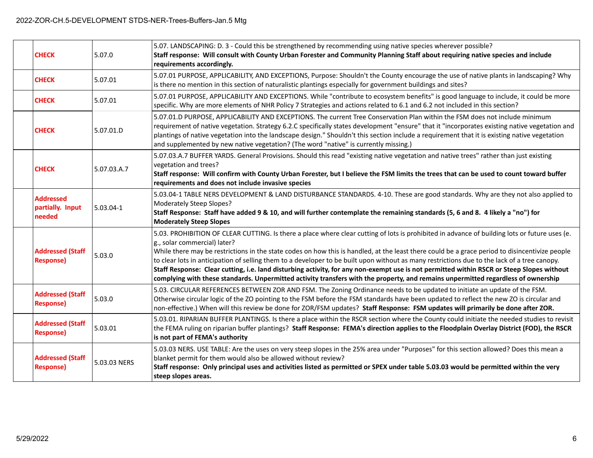| <b>CHECK</b>                                   | 5.07.0       | 5.07. LANDSCAPING: D. 3 - Could this be strengthened by recommending using native species wherever possible?<br>Staff response: Will consult with County Urban Forester and Community Planning Staff about requiring native species and include<br>requirements accordingly.                                                                                                                                                                                                                                                                                                                                                                                                                                                                                      |
|------------------------------------------------|--------------|-------------------------------------------------------------------------------------------------------------------------------------------------------------------------------------------------------------------------------------------------------------------------------------------------------------------------------------------------------------------------------------------------------------------------------------------------------------------------------------------------------------------------------------------------------------------------------------------------------------------------------------------------------------------------------------------------------------------------------------------------------------------|
| <b>CHECK</b>                                   | 5.07.01      | 5.07.01 PURPOSE, APPLICABILITY, AND EXCEPTIONS, Purpose: Shouldn't the County encourage the use of native plants in landscaping? Why<br>is there no mention in this section of naturalistic plantings especially for government buildings and sites?                                                                                                                                                                                                                                                                                                                                                                                                                                                                                                              |
| <b>CHECK</b>                                   | 5.07.01      | 5.07.01 PURPOSE, APPLICABILITY AND EXCEPTIONS. While "contribute to ecosystem benefits" is good language to include, it could be more<br>specific. Why are more elements of NHR Policy 7 Strategies and actions related to 6.1 and 6.2 not included in this section?                                                                                                                                                                                                                                                                                                                                                                                                                                                                                              |
| <b>CHECK</b>                                   | 5.07.01.D    | 5.07.01.D PURPOSE, APPLICABILITY AND EXCEPTIONS. The current Tree Conservation Plan within the FSM does not include minimum<br>requirement of native vegetation. Strategy 6.2.C specifically states development "ensure" that it "incorporates existing native vegetation and<br>plantings of native vegetation into the landscape design." Shouldn't this section include a requirement that it is existing native vegetation<br>and supplemented by new native vegetation? (The word "native" is currently missing.)                                                                                                                                                                                                                                            |
| <b>CHECK</b>                                   | 5.07.03.A.7  | 5.07.03.A.7 BUFFER YARDS. General Provisions. Should this read "existing native vegetation and native trees" rather than just existing<br>vegetation and trees?<br>Staff response: Will confirm with County Urban Forester, but I believe the FSM limits the trees that can be used to count toward buffer<br>requirements and does not include invasive species                                                                                                                                                                                                                                                                                                                                                                                                  |
| <b>Addressed</b><br>partially. Input<br>needed | 5.03.04-1    | 5.03.04-1 TABLE NERS DEVELOPMENT & LAND DISTURBANCE STANDARDS. 4-10. These are good standards. Why are they not also applied to<br>Moderately Steep Slopes?<br>Staff Response: Staff have added 9 & 10, and will further contemplate the remaining standards (5, 6 and 8. 4 likely a "no") for<br><b>Moderately Steep Slopes</b>                                                                                                                                                                                                                                                                                                                                                                                                                                  |
| <b>Addressed (Staff</b><br><b>Response)</b>    | 5.03.0       | 5.03. PROHIBITION OF CLEAR CUTTING. Is there a place where clear cutting of lots is prohibited in advance of building lots or future uses (e.<br>g., solar commercial) later?<br>While there may be restrictions in the state codes on how this is handled, at the least there could be a grace period to disincentivize people<br>to clear lots in anticipation of selling them to a developer to be built upon without as many restrictions due to the lack of a tree canopy.<br>Staff Response: Clear cutting, i.e. land disturbing activity, for any non-exempt use is not permitted within RSCR or Steep Slopes without<br>complying with these standards. Unpermitted activity transfers with the property, and remains unpermitted regardless of ownership |
| <b>Addressed (Staff</b><br><b>Response)</b>    | 5.03.0       | 5.03. CIRCULAR REFERENCES BETWEEN ZOR AND FSM. The Zoning Ordinance needs to be updated to initiate an update of the FSM.<br>Otherwise circular logic of the ZO pointing to the FSM before the FSM standards have been updated to reflect the new ZO is circular and<br>non-effective.) When will this review be done for ZOR/FSM updates? Staff Response: FSM updates will primarily be done after ZOR.                                                                                                                                                                                                                                                                                                                                                          |
| <b>Addressed (Staff</b><br><b>Response)</b>    | 5.03.01      | 5.03.01. RIPARIAN BUFFER PLANTINGS. Is there a place within the RSCR section where the County could initiate the needed studies to revisit<br>the FEMA ruling on riparian buffer plantings? Staff Response: FEMA's direction applies to the Floodplain Overlay District (FOD), the RSCR<br>is not part of FEMA's authority                                                                                                                                                                                                                                                                                                                                                                                                                                        |
| <b>Addressed (Staff</b><br><b>Response)</b>    | 5.03.03 NERS | 5.03.03 NERS. USE TABLE: Are the uses on very steep slopes in the 25% area under "Purposes" for this section allowed? Does this mean a<br>blanket permit for them would also be allowed without review?<br>Staff response: Only principal uses and activities listed as permitted or SPEX under table 5.03.03 would be permitted within the very<br>steep slopes areas.                                                                                                                                                                                                                                                                                                                                                                                           |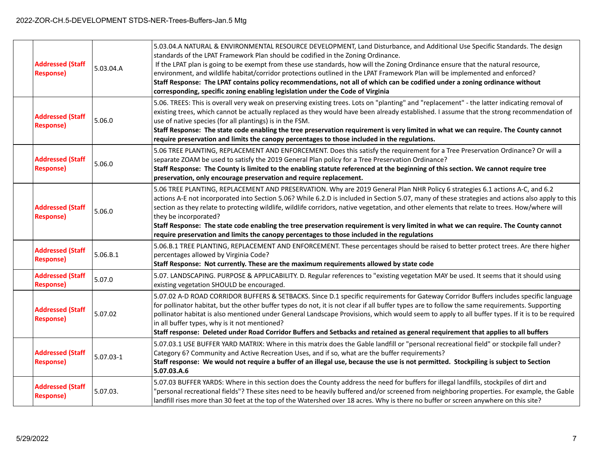| <b>Addressed (Staff</b><br><b>Response)</b> | 5.03.04.A | 5.03.04.A NATURAL & ENVIRONMENTAL RESOURCE DEVELOPMENT, Land Disturbance, and Additional Use Specific Standards. The design<br>standards of the LPAT Framework Plan should be codified in the Zoning Ordinance.<br>If the LPAT plan is going to be exempt from these use standards, how will the Zoning Ordinance ensure that the natural resource,<br>environment, and wildlife habitat/corridor protections outlined in the LPAT Framework Plan will be implemented and enforced?<br>Staff Response: The LPAT contains policy recommendations, not all of which can be codified under a zoning ordinance without<br>corresponding, specific zoning enabling legislation under the Code of Virginia |
|---------------------------------------------|-----------|------------------------------------------------------------------------------------------------------------------------------------------------------------------------------------------------------------------------------------------------------------------------------------------------------------------------------------------------------------------------------------------------------------------------------------------------------------------------------------------------------------------------------------------------------------------------------------------------------------------------------------------------------------------------------------------------------|
| <b>Addressed (Staff</b><br><b>Response)</b> | 5.06.0    | 5.06. TREES: This is overall very weak on preserving existing trees. Lots on "planting" and "replacement" - the latter indicating removal of<br>existing trees, which cannot be actually replaced as they would have been already established. I assume that the strong recommendation of<br>use of native species (for all plantings) is in the FSM.<br>Staff Response: The state code enabling the tree preservation requirement is very limited in what we can require. The County cannot<br>require preservation and limits the canopy percentages to those included in the regulations.                                                                                                         |
| <b>Addressed (Staff</b><br><b>Response)</b> | 5.06.0    | 5.06 TREE PLANTING, REPLACEMENT AND ENFORCEMENT. Does this satisfy the requirement for a Tree Preservation Ordinance? Or will a<br>separate ZOAM be used to satisfy the 2019 General Plan policy for a Tree Preservation Ordinance?<br>Staff Response: The County is limited to the enabling statute referenced at the beginning of this section. We cannot require tree<br>preservation, only encourage preservation and require replacement.                                                                                                                                                                                                                                                       |
| <b>Addressed (Staff</b><br><b>Response)</b> | 5.06.0    | 5.06 TREE PLANTING, REPLACEMENT AND PRESERVATION. Why are 2019 General Plan NHR Policy 6 strategies 6.1 actions A-C, and 6.2<br>actions A-E not incorporated into Section 5.06? While 6.2.D is included in Section 5.07, many of these strategies and actions also apply to this<br>section as they relate to protecting wildlife, wildlife corridors, native vegetation, and other elements that relate to trees. How/where will<br>they be incorporated?<br>Staff Response: The state code enabling the tree preservation requirement is very limited in what we can require. The County cannot<br>require preservation and limits the canopy percentages to those included in the regulations     |
| <b>Addressed (Staff</b><br><b>Response)</b> | 5.06.B.1  | 5.06.B.1 TREE PLANTING, REPLACEMENT AND ENFORCEMENT. These percentages should be raised to better protect trees. Are there higher<br>percentages allowed by Virginia Code?<br>Staff Response: Not currently. These are the maximum requirements allowed by state code                                                                                                                                                                                                                                                                                                                                                                                                                                |
| <b>Addressed (Staff</b><br><b>Response)</b> | 5.07.0    | 5.07. LANDSCAPING. PURPOSE & APPLICABILITY. D. Regular references to "existing vegetation MAY be used. It seems that it should using<br>existing vegetation SHOULD be encouraged.                                                                                                                                                                                                                                                                                                                                                                                                                                                                                                                    |
| <b>Addressed (Staff</b><br><b>Response)</b> | 5.07.02   | 5.07.02 A-D ROAD CORRIDOR BUFFERS & SETBACKS. Since D.1 specific requirements for Gateway Corridor Buffers includes specific language<br>for pollinator habitat, but the other buffer types do not, it is not clear if all buffer types are to follow the same requirements. Supporting<br>pollinator habitat is also mentioned under General Landscape Provisions, which would seem to apply to all buffer types. If it is to be required<br>in all buffer types, why is it not mentioned?<br>Staff response: Deleted under Road Corridor Buffers and Setbacks and retained as general requirement that applies to all buffers                                                                      |
| <b>Addressed (Staff</b><br><b>Response)</b> | 5.07.03-1 | 5.07.03.1 USE BUFFER YARD MATRIX: Where in this matrix does the Gable landfill or "personal recreational field" or stockpile fall under?<br>Category 6? Community and Active Recreation Uses, and if so, what are the buffer requirements?<br>Staff response: We would not require a buffer of an illegal use, because the use is not permitted. Stockpiling is subject to Section<br>5.07.03.A.6                                                                                                                                                                                                                                                                                                    |
| <b>Addressed (Staff</b><br><b>Response)</b> | 5.07.03.  | 5.07.03 BUFFER YARDS: Where in this section does the County address the need for buffers for illegal landfills, stockpiles of dirt and<br>'personal recreational fields"? These sites need to be heavily buffered and/or screened from neighboring properties. For example, the Gable<br>landfill rises more than 30 feet at the top of the Watershed over 18 acres. Why is there no buffer or screen anywhere on this site?                                                                                                                                                                                                                                                                         |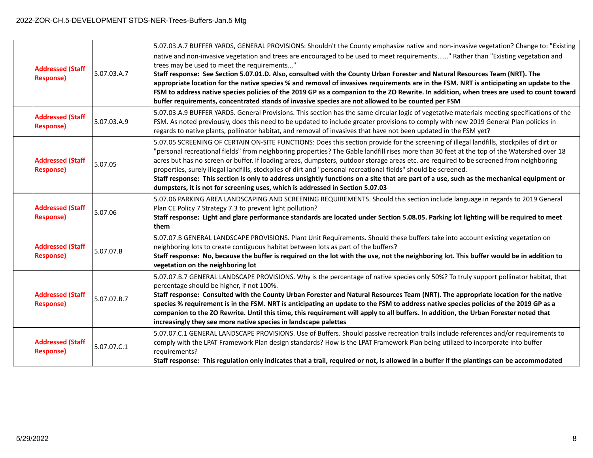| <b>Addressed (Staff</b><br><b>Response)</b> | 5.07.03.A.7 | 5.07.03.A.7 BUFFER YARDS, GENERAL PROVISIONS: Shouldn't the County emphasize native and non-invasive vegetation? Change to: "Existing<br>native and non-invasive vegetation and trees are encouraged to be used to meet requirements" Rather than "Existing vegetation and<br>trees may be used to meet the requirements"<br>Staff response: See Section 5.07.01.D. Also, consulted with the County Urban Forester and Natural Resources Team (NRT). The<br>appropriate location for the native species % and removal of invasives requirements are in the FSM. NRT is anticipating an update to the<br>FSM to address native species policies of the 2019 GP as a companion to the ZO Rewrite. In addition, when trees are used to count toward<br>buffer requirements, concentrated stands of invasive species are not allowed to be counted per FSM |
|---------------------------------------------|-------------|--------------------------------------------------------------------------------------------------------------------------------------------------------------------------------------------------------------------------------------------------------------------------------------------------------------------------------------------------------------------------------------------------------------------------------------------------------------------------------------------------------------------------------------------------------------------------------------------------------------------------------------------------------------------------------------------------------------------------------------------------------------------------------------------------------------------------------------------------------|
| <b>Addressed (Staff</b><br><b>Response)</b> | 5.07.03.A.9 | 5.07.03.A.9 BUFFER YARDS. General Provisions. This section has the same circular logic of vegetative materials meeting specifications of the<br>FSM. As noted previously, does this need to be updated to include greater provisions to comply with new 2019 General Plan policies in<br>regards to native plants, pollinator habitat, and removal of invasives that have not been updated in the FSM yet?                                                                                                                                                                                                                                                                                                                                                                                                                                             |
| <b>Addressed (Staff</b><br><b>Response)</b> | 5.07.05     | 5.07.05 SCREENING OF CERTAIN ON-SITE FUNCTIONS: Does this section provide for the screening of illegal landfills, stockpiles of dirt or<br>'personal recreational fields" from neighboring properties? The Gable landfill rises more than 30 feet at the top of the Watershed over 18<br>acres but has no screen or buffer. If loading areas, dumpsters, outdoor storage areas etc. are required to be screened from neighboring<br>properties, surely illegal landfills, stockpiles of dirt and "personal recreational fields" should be screened.<br>Staff response: This section is only to address unsightly functions on a site that are part of a use, such as the mechanical equipment or<br>dumpsters, it is not for screening uses, which is addressed in Section 5.07.03                                                                     |
| <b>Addressed (Staff</b><br><b>Response)</b> | 5.07.06     | 5.07.06 PARKING AREA LANDSCAPING AND SCREENING REQUIREMENTS. Should this section include language in regards to 2019 General<br>Plan CE Policy 7 Strategy 7.3 to prevent light pollution?<br>Staff response: Light and glare performance standards are located under Section 5.08.05. Parking lot lighting will be required to meet<br>them                                                                                                                                                                                                                                                                                                                                                                                                                                                                                                            |
| <b>Addressed (Staff</b><br><b>Response)</b> | 5.07.07.B   | 5.07.07.B GENERAL LANDSCAPE PROVISIONS. Plant Unit Requirements. Should these buffers take into account existing vegetation on<br>neighboring lots to create contiguous habitat between lots as part of the buffers?<br>Staff response: No, because the buffer is required on the lot with the use, not the neighboring lot. This buffer would be in addition to<br>vegetation on the neighboring lot                                                                                                                                                                                                                                                                                                                                                                                                                                                  |
| <b>Addressed (Staff</b><br><b>Response)</b> | 5.07.07.B.7 | 5.07.07.B.7 GENERAL LANDSCAPE PROVISIONS. Why is the percentage of native species only 50%? To truly support pollinator habitat, that<br>percentage should be higher, if not 100%.<br>Staff response: Consulted with the County Urban Forester and Natural Resources Team (NRT). The appropriate location for the native<br>species % requirement is in the FSM. NRT is anticipating an update to the FSM to address native species policies of the 2019 GP as a<br>companion to the ZO Rewrite. Until this time, this requirement will apply to all buffers. In addition, the Urban Forester noted that<br>increasingly they see more native species in landscape palettes                                                                                                                                                                            |
| <b>Addressed (Staff</b><br><b>Response)</b> | 5.07.07.C.1 | 5.07.07.C.1 GENERAL LANDSCAPE PROVISIONS. Use of Buffers. Should passive recreation trails include references and/or requirements to<br>comply with the LPAT Framework Plan design standards? How is the LPAT Framework Plan being utilized to incorporate into buffer<br>requirements?<br>Staff response: This regulation only indicates that a trail, required or not, is allowed in a buffer if the plantings can be accommodated                                                                                                                                                                                                                                                                                                                                                                                                                   |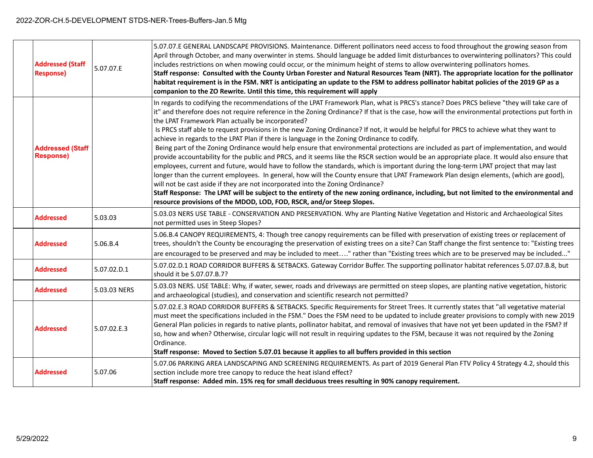| <b>Addressed (Staff</b><br><b>Response)</b> | 5.07.07.E    | 5.07.07.E GENERAL LANDSCAPE PROVISIONS. Maintenance. Different pollinators need access to food throughout the growing season from<br>April through October, and many overwinter in stems. Should language be added limit disturbances to overwintering pollinators? This could<br>includes restrictions on when mowing could occur, or the minimum height of stems to allow overwintering pollinators homes.<br>Staff response: Consulted with the County Urban Forester and Natural Resources Team (NRT). The appropriate location for the pollinator<br>habitat requirement is in the FSM. NRT is anticipating an update to the FSM to address pollinator habitat policies of the 2019 GP as a<br>companion to the ZO Rewrite. Until this time, this requirement will apply                                                                                                                                                                                                                                                                                                                                                                                                                                                                                                                                                                                                                                                                                               |
|---------------------------------------------|--------------|-----------------------------------------------------------------------------------------------------------------------------------------------------------------------------------------------------------------------------------------------------------------------------------------------------------------------------------------------------------------------------------------------------------------------------------------------------------------------------------------------------------------------------------------------------------------------------------------------------------------------------------------------------------------------------------------------------------------------------------------------------------------------------------------------------------------------------------------------------------------------------------------------------------------------------------------------------------------------------------------------------------------------------------------------------------------------------------------------------------------------------------------------------------------------------------------------------------------------------------------------------------------------------------------------------------------------------------------------------------------------------------------------------------------------------------------------------------------------------|
| <b>Addressed (Staff</b><br><b>Response)</b> |              | In regards to codifying the recommendations of the LPAT Framework Plan, what is PRCS's stance? Does PRCS believe "they will take care of<br>it" and therefore does not require reference in the Zoning Ordinance? If that is the case, how will the environmental protections put forth in<br>the LPAT Framework Plan actually be incorporated?<br>Is PRCS staff able to request provisions in the new Zoning Ordinance? If not, it would be helpful for PRCS to achieve what they want to<br>achieve in regards to the LPAT Plan if there is language in the Zoning Ordinance to codify.<br>Being part of the Zoning Ordinance would help ensure that environmental protections are included as part of implementation, and would<br>provide accountability for the public and PRCS, and it seems like the RSCR section would be an appropriate place. It would also ensure that<br>employees, current and future, would have to follow the standards, which is important during the long-term LPAT project that may last<br>longer than the current employees. In general, how will the County ensure that LPAT Framework Plan design elements, (which are good),<br>will not be cast aside if they are not incorporated into the Zoning Ordinance?<br>Staff Response: The LPAT will be subject to the entirety of the new zoning ordinance, including, but not limited to the environmental and<br>resource provisions of the MDOD, LOD, FOD, RSCR, and/or Steep Slopes. |
| <b>Addressed</b>                            | 5.03.03      | 5.03.03 NERS USE TABLE - CONSERVATION AND PRESERVATION. Why are Planting Native Vegetation and Historic and Archaeological Sites<br>not permitted uses in Steep Slopes?                                                                                                                                                                                                                                                                                                                                                                                                                                                                                                                                                                                                                                                                                                                                                                                                                                                                                                                                                                                                                                                                                                                                                                                                                                                                                                     |
| <b>Addressed</b>                            | 5.06.B.4     | 5.06.B.4 CANOPY REQUIREMENTS, 4: Though tree canopy requirements can be filled with preservation of existing trees or replacement of<br>trees, shouldn't the County be encouraging the preservation of existing trees on a site? Can Staff change the first sentence to: "Existing trees<br>are encouraged to be preserved and may be included to meet" rather than "Existing trees which are to be preserved may be included"                                                                                                                                                                                                                                                                                                                                                                                                                                                                                                                                                                                                                                                                                                                                                                                                                                                                                                                                                                                                                                              |
| <b>Addressed</b>                            | 5.07.02.D.1  | 5.07.02.D.1 ROAD CORRIDOR BUFFERS & SETBACKS. Gateway Corridor Buffer. The supporting pollinator habitat references 5.07.07.B.8, but<br>should it be 5.07.07.B.7?                                                                                                                                                                                                                                                                                                                                                                                                                                                                                                                                                                                                                                                                                                                                                                                                                                                                                                                                                                                                                                                                                                                                                                                                                                                                                                           |
| <b>Addressed</b>                            | 5.03.03 NERS | 5.03.03 NERS. USE TABLE: Why, if water, sewer, roads and driveways are permitted on steep slopes, are planting native vegetation, historic<br>and archaeological (studies), and conservation and scientific research not permitted?                                                                                                                                                                                                                                                                                                                                                                                                                                                                                                                                                                                                                                                                                                                                                                                                                                                                                                                                                                                                                                                                                                                                                                                                                                         |
| <b>Addressed</b>                            | 5.07.02.E.3  | 5.07.02.E.3 ROAD CORRIDOR BUFFERS & SETBACKS. Specific Requirements for Street Trees. It currently states that "all vegetative material<br>must meet the specifications included in the FSM." Does the FSM need to be updated to include greater provisions to comply with new 2019<br>General Plan policies in regards to native plants, pollinator habitat, and removal of invasives that have not yet been updated in the FSM? If<br>so, how and when? Otherwise, circular logic will not result in requiring updates to the FSM, because it was not required by the Zoning<br>Ordinance.<br>Staff response: Moved to Section 5.07.01 because it applies to all buffers provided in this section                                                                                                                                                                                                                                                                                                                                                                                                                                                                                                                                                                                                                                                                                                                                                                         |
| <b>Addressed</b>                            | 5.07.06      | 5.07.06 PARKING AREA LANDSCAPING AND SCREENING REQUIREMENTS. As part of 2019 General Plan FTV Policy 4 Strategy 4.2, should this<br>section include more tree canopy to reduce the heat island effect?<br>Staff response: Added min. 15% req for small deciduous trees resulting in 90% canopy requirement.                                                                                                                                                                                                                                                                                                                                                                                                                                                                                                                                                                                                                                                                                                                                                                                                                                                                                                                                                                                                                                                                                                                                                                 |